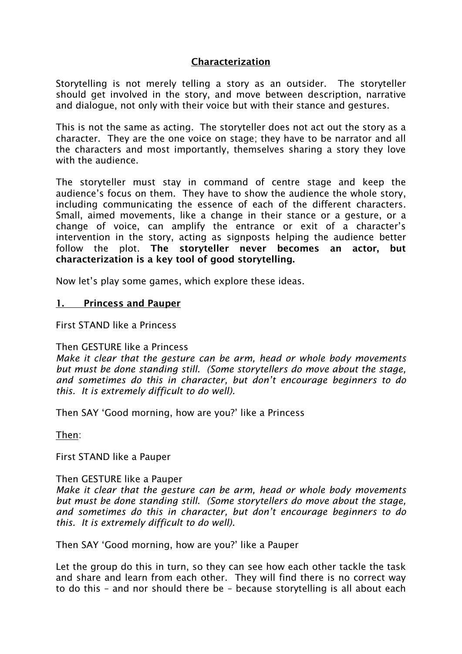# Characterization

Storytelling is not merely telling a story as an outsider. The storyteller should get involved in the story, and move between description, narrative and dialogue, not only with their voice but with their stance and gestures.

This is not the same as acting. The storyteller does not act out the story as a character. They are the one voice on stage; they have to be narrator and all the characters and most importantly, themselves sharing a story they love with the audience.

The storyteller must stay in command of centre stage and keep the audience's focus on them. They have to show the audience the whole story, including communicating the essence of each of the different characters. Small, aimed movements, like a change in their stance or a gesture, or a change of voice, can amplify the entrance or exit of a character's intervention in the story, acting as signposts helping the audience better follow the plot. The storyteller never becomes an actor, but characterization is a key tool of good storytelling.

Now let's play some games, which explore these ideas.

### 1. Princess and Pauper

First STAND like a Princess

#### Then GESTURE like a Princess

*Make it clear that the gesture can be arm, head or whole body movements but must be done standing still. (Some storytellers do move about the stage, and sometimes do this in character, but don't encourage beginners to do this. It is extremely difficult to do well).*

Then SAY 'Good morning, how are you?' like a Princess

Then:

First STAND like a Pauper

### Then GESTURE like a Pauper

*Make it clear that the gesture can be arm, head or whole body movements but must be done standing still. (Some storytellers do move about the stage, and sometimes do this in character, but don't encourage beginners to do this. It is extremely difficult to do well).*

Then SAY 'Good morning, how are you?' like a Pauper

Let the group do this in turn, so they can see how each other tackle the task and share and learn from each other. They will find there is no correct way to do this – and nor should there be – because storytelling is all about each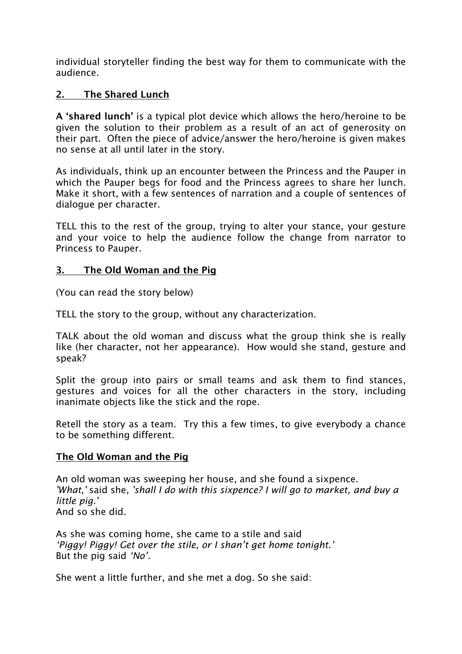individual storyteller finding the best way for them to communicate with the audience.

# 2. The Shared Lunch

A 'shared lunch' is a typical plot device which allows the hero/heroine to be given the solution to their problem as a result of an act of generosity on their part. Often the piece of advice/answer the hero/heroine is given makes no sense at all until later in the story.

As individuals, think up an encounter between the Princess and the Pauper in which the Pauper begs for food and the Princess agrees to share her lunch. Make it short, with a few sentences of narration and a couple of sentences of dialogue per character.

TELL this to the rest of the group, trying to alter your stance, your gesture and your voice to help the audience follow the change from narrator to Princess to Pauper.

## 3. The Old Woman and the Pig

(You can read the story below)

TELL the story to the group, without any characterization.

TALK about the old woman and discuss what the group think she is really like (her character, not her appearance). How would she stand, gesture and speak?

Split the group into pairs or small teams and ask them to find stances, gestures and voices for all the other characters in the story, including inanimate objects like the stick and the rope.

Retell the story as a team. Try this a few times, to give everybody a chance to be something different.

# The Old Woman and the Pig

An old woman was sweeping her house, and she found a sixpence. *'What,'* said she, *'shall I do with this sixpence? I will go to market, and buy a little pig.'* And so she did.

As she was coming home, she came to a stile and said *'Piggy! Piggy! Get over the stile, or I shan't get home tonight.'* But the pig said *'No'.*

She went a little further, and she met a dog. So she said: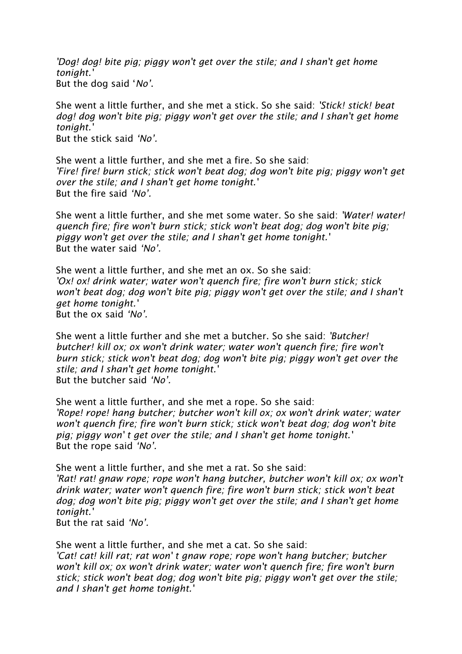*'Dog! dog! bite pig; piggy won't get over the stile; and I shan't get home tonight.'*  But the dog said '*No'*.

She went a little further, and she met a stick. So she said: *'Stick! stick! beat dog! dog won't bite pig; piggy won't get over the stile; and I shan't get home tonight.'*  But the stick said *'No'.*

She went a little further, and she met a fire. So she said: *'Fire! fire! burn stick; stick won't beat dog; dog won't bite pig; piggy won't get over the stile; and I shan't get home tonight.'* But the fire said *'No'.*

She went a little further, and she met some water. So she said: *'Water! water! quench fire; fire won't burn stick; stick won't beat dog; dog won't bite pig; piggy won't get over the stile; and I shan't get home tonight.'*  But the water said *'No'.*

She went a little further, and she met an ox. So she said: *'Ox! ox! drink water; water won't quench fire; fire won't burn stick; stick won't beat dog; dog won't bite pig; piggy won't get over the stile; and I shan't get home tonight.'*  But the ox said *'No'.*

She went a little further and she met a butcher. So she said: *'Butcher! butcher! kill ox; ox won't drink water; water won't quench fire; fire won't burn stick; stick won't beat dog; dog won't bite pig; piggy won't get over the stile; and I shan't get home tonight.'*  But the butcher said *'No'.*

She went a little further, and she met a rope. So she said: *'Rope! rope! hang butcher; butcher won't kill ox; ox won't drink water; water won't quench fire; fire won't burn stick; stick won't beat dog; dog won't bite pig; piggy won' t get over the stile; and I shan't get home tonight.'*  But the rope said *'No'.*

She went a little further, and she met a rat. So she said: *'Rat! rat! gnaw rope; rope won't hang butcher, butcher won't kill ox; ox won't drink water; water won't quench fire; fire won't burn stick; stick won't beat dog; dog won't bite pig; piggy won't get over the stile; and I shan't get home tonight.'* 

But the rat said *'No'.*

She went a little further, and she met a cat. So she said: *'Cat! cat! kill rat; rat won' t gnaw rope; rope won't hang butcher; butcher won't kill ox; ox won't drink water; water won't quench fire; fire won't burn stick; stick won't beat dog; dog won't bite pig; piggy won't get over the stile; and I shan't get home tonight.'*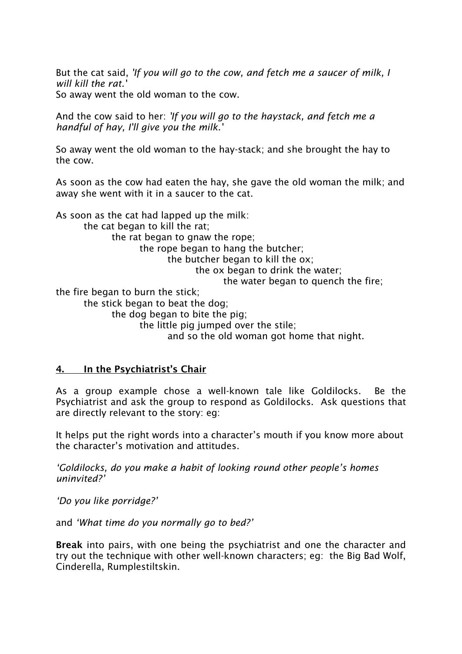But the cat said, *'If you will go to the cow, and fetch me a saucer of milk, I will kill the rat.'* So away went the old woman to the cow.

And the cow said to her: *'If you will go to the haystack, and fetch me a handful of hay, I'll give you the milk.'*

So away went the old woman to the hay-stack; and she brought the hay to the cow.

As soon as the cow had eaten the hay, she gave the old woman the milk; and away she went with it in a saucer to the cat.

As soon as the cat had lapped up the milk: the cat began to kill the rat; the rat began to gnaw the rope; the rope began to hang the butcher; the butcher began to kill the ox; the ox began to drink the water; the water began to quench the fire; the fire began to burn the stick; the stick began to beat the dog; the dog began to bite the pig; the little pig jumped over the stile; and so the old woman got home that night.

### 4. In the Psychiatrist's Chair

As a group example chose a well-known tale like Goldilocks. Be the Psychiatrist and ask the group to respond as Goldilocks. Ask questions that are directly relevant to the story: eg:

It helps put the right words into a character's mouth if you know more about the character's motivation and attitudes.

*'Goldilocks, do you make a habit of looking round other people's homes uninvited?'*

*'Do you like porridge?'*

and *'What time do you normally go to bed?'*

Break into pairs, with one being the psychiatrist and one the character and try out the technique with other well-known characters; eg: the Big Bad Wolf, Cinderella, Rumplestiltskin.